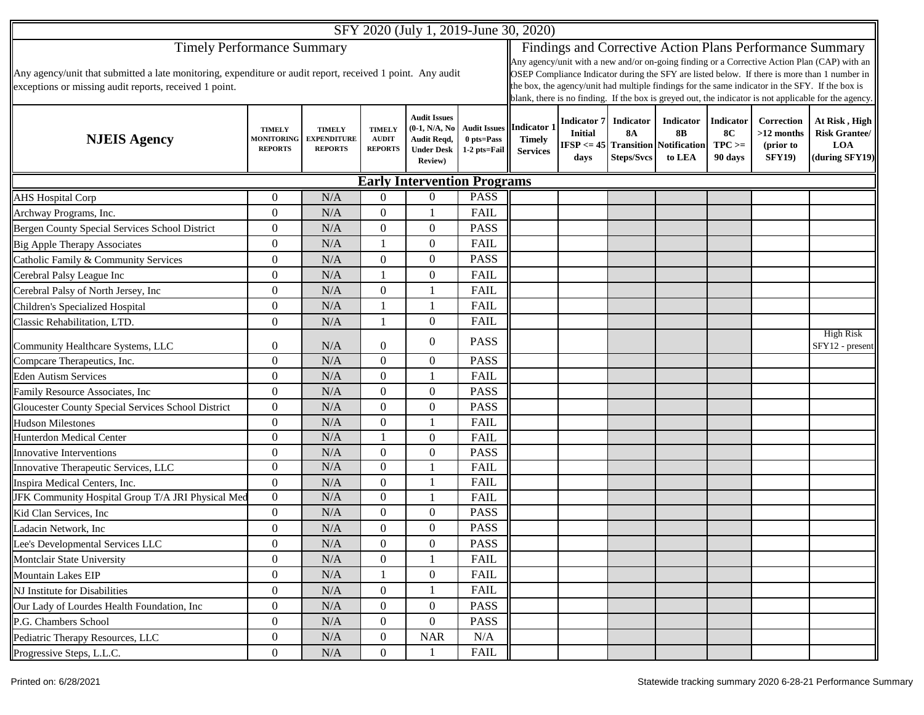| SFY 2020 (July 1, 2019-June 30, 2020)                                                                                                                                                                     |                                                             |                                                       |                                                 |                                                                                     |                                                                 |                                  |                                                                                                                                                                                                                                                                                                                                                                                                                                                                      |                                      |                                                                            |                                                   |                                                           |                                                                       |  |  |
|-----------------------------------------------------------------------------------------------------------------------------------------------------------------------------------------------------------|-------------------------------------------------------------|-------------------------------------------------------|-------------------------------------------------|-------------------------------------------------------------------------------------|-----------------------------------------------------------------|----------------------------------|----------------------------------------------------------------------------------------------------------------------------------------------------------------------------------------------------------------------------------------------------------------------------------------------------------------------------------------------------------------------------------------------------------------------------------------------------------------------|--------------------------------------|----------------------------------------------------------------------------|---------------------------------------------------|-----------------------------------------------------------|-----------------------------------------------------------------------|--|--|
| <b>Timely Performance Summary</b><br>Any agency/unit that submitted a late monitoring, expenditure or audit report, received 1 point. Any audit<br>exceptions or missing audit reports, received 1 point. |                                                             |                                                       |                                                 |                                                                                     |                                                                 |                                  | Findings and Corrective Action Plans Performance Summary<br>Any agency/unit with a new and/or on-going finding or a Corrective Action Plan (CAP) with an<br>OSEP Compliance Indicator during the SFY are listed below. If there is more than 1 number in<br>the box, the agency/unit had multiple findings for the same indicator in the SFY. If the box is<br>blank, there is no finding. If the box is greyed out, the indicator is not applicable for the agency. |                                      |                                                                            |                                                   |                                                           |                                                                       |  |  |
| <b>NJEIS Agency</b>                                                                                                                                                                                       | <b>TIMELY</b><br><b><i>AONITORING</i></b><br><b>REPORTS</b> | <b>TIMELY</b><br><b>EXPENDITURE</b><br><b>REPORTS</b> | <b>TIMELY</b><br><b>AUDIT</b><br><b>REPORTS</b> | <b>Audit Issues</b><br>(0-1, N/A, No<br>Audit Reqd,<br><b>Under Desk</b><br>Review) | <b>Audit Issues   Indicator 1</b><br>0 pts=Pass<br>1-2 pts=Fail | <b>Timely</b><br><b>Services</b> | Indicator 7<br><b>Initial</b><br>days                                                                                                                                                                                                                                                                                                                                                                                                                                | Indicator<br><b>8A</b><br>Steps/Svcs | Indicator<br><b>8B</b><br>$IFSP \leq 45$ Transition Notification<br>to LEA | Indicator<br><b>8C</b><br>$TPC \geq 0$<br>90 days | Correction<br>$>12$ months<br>(prior to<br><b>SFY19</b> ) | At Risk, High<br><b>Risk Grantee/</b><br><b>LOA</b><br>(during SFY19) |  |  |
| <b>Early Intervention Programs</b>                                                                                                                                                                        |                                                             |                                                       |                                                 |                                                                                     |                                                                 |                                  |                                                                                                                                                                                                                                                                                                                                                                                                                                                                      |                                      |                                                                            |                                                   |                                                           |                                                                       |  |  |
| <b>AHS Hospital Corp</b>                                                                                                                                                                                  | $\overline{0}$                                              | N/A                                                   | $\overline{0}$                                  | $\overline{0}$                                                                      | <b>PASS</b>                                                     |                                  |                                                                                                                                                                                                                                                                                                                                                                                                                                                                      |                                      |                                                                            |                                                   |                                                           |                                                                       |  |  |
| Archway Programs, Inc.                                                                                                                                                                                    | $\overline{0}$                                              | N/A                                                   | $\overline{0}$                                  | 1                                                                                   | FAIL                                                            |                                  |                                                                                                                                                                                                                                                                                                                                                                                                                                                                      |                                      |                                                                            |                                                   |                                                           |                                                                       |  |  |
| Bergen County Special Services School District                                                                                                                                                            | $\overline{0}$                                              | N/A                                                   | $\boldsymbol{0}$                                | $\boldsymbol{0}$                                                                    | <b>PASS</b>                                                     |                                  |                                                                                                                                                                                                                                                                                                                                                                                                                                                                      |                                      |                                                                            |                                                   |                                                           |                                                                       |  |  |
| <b>Big Apple Therapy Associates</b>                                                                                                                                                                       | $\overline{0}$                                              | N/A                                                   | $\mathbf{1}$                                    | $\mathbf{0}$                                                                        | FAIL                                                            |                                  |                                                                                                                                                                                                                                                                                                                                                                                                                                                                      |                                      |                                                                            |                                                   |                                                           |                                                                       |  |  |
| Catholic Family & Community Services                                                                                                                                                                      | $\boldsymbol{0}$                                            | N/A                                                   | $\boldsymbol{0}$                                | $\boldsymbol{0}$                                                                    | <b>PASS</b>                                                     |                                  |                                                                                                                                                                                                                                                                                                                                                                                                                                                                      |                                      |                                                                            |                                                   |                                                           |                                                                       |  |  |
| Cerebral Palsy League Inc                                                                                                                                                                                 | $\overline{0}$                                              | N/A                                                   | $\mathbf{1}$                                    | $\boldsymbol{0}$                                                                    | FAIL                                                            |                                  |                                                                                                                                                                                                                                                                                                                                                                                                                                                                      |                                      |                                                                            |                                                   |                                                           |                                                                       |  |  |
| Cerebral Palsy of North Jersey, Inc                                                                                                                                                                       | $\overline{0}$                                              | N/A                                                   | $\overline{0}$                                  | 1                                                                                   | <b>FAIL</b>                                                     |                                  |                                                                                                                                                                                                                                                                                                                                                                                                                                                                      |                                      |                                                                            |                                                   |                                                           |                                                                       |  |  |
| Children's Specialized Hospital                                                                                                                                                                           | $\overline{0}$                                              | N/A                                                   | $\overline{1}$                                  | 1                                                                                   | <b>FAIL</b>                                                     |                                  |                                                                                                                                                                                                                                                                                                                                                                                                                                                                      |                                      |                                                                            |                                                   |                                                           |                                                                       |  |  |
| Classic Rehabilitation, LTD.                                                                                                                                                                              | $\overline{0}$                                              | N/A                                                   | $\mathbf{1}$                                    | $\overline{0}$                                                                      | <b>FAIL</b>                                                     |                                  |                                                                                                                                                                                                                                                                                                                                                                                                                                                                      |                                      |                                                                            |                                                   |                                                           |                                                                       |  |  |
| Community Healthcare Systems, LLC                                                                                                                                                                         | $\theta$                                                    | N/A                                                   | $\boldsymbol{0}$                                | $\boldsymbol{0}$                                                                    | <b>PASS</b>                                                     |                                  |                                                                                                                                                                                                                                                                                                                                                                                                                                                                      |                                      |                                                                            |                                                   |                                                           | <b>High Risk</b><br>SFY12 - present                                   |  |  |
| Compcare Therapeutics, Inc.                                                                                                                                                                               | $\overline{0}$                                              | N/A                                                   | $\boldsymbol{0}$                                | $\boldsymbol{0}$                                                                    | <b>PASS</b>                                                     |                                  |                                                                                                                                                                                                                                                                                                                                                                                                                                                                      |                                      |                                                                            |                                                   |                                                           |                                                                       |  |  |
| <b>Eden Autism Services</b>                                                                                                                                                                               | $\overline{0}$                                              | N/A                                                   | $\overline{0}$                                  | 1                                                                                   | <b>FAIL</b>                                                     |                                  |                                                                                                                                                                                                                                                                                                                                                                                                                                                                      |                                      |                                                                            |                                                   |                                                           |                                                                       |  |  |
| Family Resource Associates, Inc                                                                                                                                                                           | $\overline{0}$                                              | N/A                                                   | $\boldsymbol{0}$                                | $\boldsymbol{0}$                                                                    | <b>PASS</b>                                                     |                                  |                                                                                                                                                                                                                                                                                                                                                                                                                                                                      |                                      |                                                                            |                                                   |                                                           |                                                                       |  |  |
| <b>Gloucester County Special Services School District</b>                                                                                                                                                 | $\overline{0}$                                              | N/A                                                   | $\boldsymbol{0}$                                | $\mathbf{0}$                                                                        | <b>PASS</b>                                                     |                                  |                                                                                                                                                                                                                                                                                                                                                                                                                                                                      |                                      |                                                                            |                                                   |                                                           |                                                                       |  |  |
| <b>Hudson Milestones</b>                                                                                                                                                                                  | $\overline{0}$                                              | N/A                                                   | $\boldsymbol{0}$                                | 1                                                                                   | <b>FAIL</b>                                                     |                                  |                                                                                                                                                                                                                                                                                                                                                                                                                                                                      |                                      |                                                                            |                                                   |                                                           |                                                                       |  |  |
| <b>Hunterdon Medical Center</b>                                                                                                                                                                           | $\overline{0}$                                              | N/A                                                   | $\mathbf{1}$                                    | $\mathbf{0}$                                                                        | <b>FAIL</b>                                                     |                                  |                                                                                                                                                                                                                                                                                                                                                                                                                                                                      |                                      |                                                                            |                                                   |                                                           |                                                                       |  |  |
| <b>Innovative Interventions</b>                                                                                                                                                                           | $\overline{0}$                                              | N/A                                                   | $\boldsymbol{0}$                                | $\mathbf{0}$                                                                        | <b>PASS</b>                                                     |                                  |                                                                                                                                                                                                                                                                                                                                                                                                                                                                      |                                      |                                                                            |                                                   |                                                           |                                                                       |  |  |
| Innovative Therapeutic Services, LLC                                                                                                                                                                      | $\overline{0}$                                              | N/A                                                   | $\boldsymbol{0}$                                |                                                                                     | <b>FAIL</b>                                                     |                                  |                                                                                                                                                                                                                                                                                                                                                                                                                                                                      |                                      |                                                                            |                                                   |                                                           |                                                                       |  |  |
| Inspira Medical Centers, Inc.                                                                                                                                                                             | $\overline{0}$                                              | N/A                                                   | $\overline{0}$                                  |                                                                                     | FAIL                                                            |                                  |                                                                                                                                                                                                                                                                                                                                                                                                                                                                      |                                      |                                                                            |                                                   |                                                           |                                                                       |  |  |
| JFK Community Hospital Group T/A JRI Physical Med                                                                                                                                                         | $\boldsymbol{0}$                                            | N/A                                                   | $\boldsymbol{0}$                                |                                                                                     | <b>FAIL</b>                                                     |                                  |                                                                                                                                                                                                                                                                                                                                                                                                                                                                      |                                      |                                                                            |                                                   |                                                           |                                                                       |  |  |
| Kid Clan Services, Inc                                                                                                                                                                                    | $\boldsymbol{0}$                                            | N/A                                                   | $\overline{0}$                                  | $\boldsymbol{0}$                                                                    | <b>PASS</b>                                                     |                                  |                                                                                                                                                                                                                                                                                                                                                                                                                                                                      |                                      |                                                                            |                                                   |                                                           |                                                                       |  |  |
| Ladacin Network, Inc                                                                                                                                                                                      | $\overline{0}$                                              | N/A                                                   | $\mathbf{0}$                                    | $\boldsymbol{0}$                                                                    | <b>PASS</b>                                                     |                                  |                                                                                                                                                                                                                                                                                                                                                                                                                                                                      |                                      |                                                                            |                                                   |                                                           |                                                                       |  |  |
| ce's Developmental Services LLC                                                                                                                                                                           | $\overline{0}$                                              | $\rm N/A$                                             | $\boldsymbol{0}$                                | $\boldsymbol{0}$                                                                    | PASS                                                            |                                  |                                                                                                                                                                                                                                                                                                                                                                                                                                                                      |                                      |                                                                            |                                                   |                                                           |                                                                       |  |  |
| Montclair State University                                                                                                                                                                                | $\Omega$                                                    | N/A                                                   | $\overline{0}$                                  | $\mathbf{1}$                                                                        | <b>FAIL</b>                                                     |                                  |                                                                                                                                                                                                                                                                                                                                                                                                                                                                      |                                      |                                                                            |                                                   |                                                           |                                                                       |  |  |
| Mountain Lakes EIP                                                                                                                                                                                        | $\overline{0}$                                              | $\rm N/A$                                             | 1                                               | $\boldsymbol{0}$                                                                    | <b>FAIL</b>                                                     |                                  |                                                                                                                                                                                                                                                                                                                                                                                                                                                                      |                                      |                                                                            |                                                   |                                                           |                                                                       |  |  |
| NJ Institute for Disabilities                                                                                                                                                                             | $\overline{0}$                                              | $\rm N/A$                                             | $\boldsymbol{0}$                                | 1                                                                                   | <b>FAIL</b>                                                     |                                  |                                                                                                                                                                                                                                                                                                                                                                                                                                                                      |                                      |                                                                            |                                                   |                                                           |                                                                       |  |  |
| Our Lady of Lourdes Health Foundation, Inc                                                                                                                                                                | $\overline{0}$                                              | $\rm N/A$                                             | $\overline{0}$                                  | $\boldsymbol{0}$                                                                    | <b>PASS</b>                                                     |                                  |                                                                                                                                                                                                                                                                                                                                                                                                                                                                      |                                      |                                                                            |                                                   |                                                           |                                                                       |  |  |
| P.G. Chambers School                                                                                                                                                                                      | $\overline{0}$                                              | $\rm N/A$                                             | $\boldsymbol{0}$                                | $\overline{0}$                                                                      | <b>PASS</b>                                                     |                                  |                                                                                                                                                                                                                                                                                                                                                                                                                                                                      |                                      |                                                                            |                                                   |                                                           |                                                                       |  |  |
| Pediatric Therapy Resources, LLC                                                                                                                                                                          | $\overline{0}$                                              | $\rm N/A$                                             | $\boldsymbol{0}$                                | <b>NAR</b>                                                                          | N/A                                                             |                                  |                                                                                                                                                                                                                                                                                                                                                                                                                                                                      |                                      |                                                                            |                                                   |                                                           |                                                                       |  |  |
| Progressive Steps, L.L.C.                                                                                                                                                                                 | $\overline{0}$                                              | $\rm N/A$                                             | $\boldsymbol{0}$                                |                                                                                     | <b>FAIL</b>                                                     |                                  |                                                                                                                                                                                                                                                                                                                                                                                                                                                                      |                                      |                                                                            |                                                   |                                                           |                                                                       |  |  |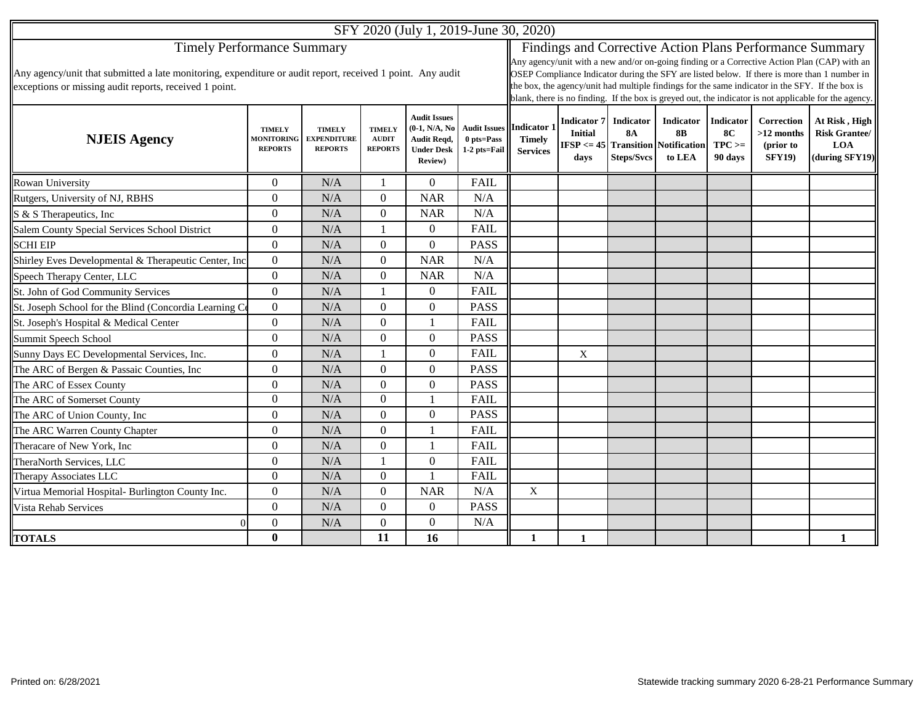|                                                                                                                                                                      |                                                      |                                                       |                                                 | SFY 2020 (July 1, 2019-June 30, 2020)                                                          |                            |                                                                     |                                                                                                                                                                                                                                                                                                                                                                                                          |                                             |                                                                                      |                                                 |                                                           |                                                                       |  |  |
|----------------------------------------------------------------------------------------------------------------------------------------------------------------------|------------------------------------------------------|-------------------------------------------------------|-------------------------------------------------|------------------------------------------------------------------------------------------------|----------------------------|---------------------------------------------------------------------|----------------------------------------------------------------------------------------------------------------------------------------------------------------------------------------------------------------------------------------------------------------------------------------------------------------------------------------------------------------------------------------------------------|---------------------------------------------|--------------------------------------------------------------------------------------|-------------------------------------------------|-----------------------------------------------------------|-----------------------------------------------------------------------|--|--|
| <b>Timely Performance Summary</b>                                                                                                                                    |                                                      |                                                       |                                                 |                                                                                                |                            |                                                                     | Findings and Corrective Action Plans Performance Summary                                                                                                                                                                                                                                                                                                                                                 |                                             |                                                                                      |                                                 |                                                           |                                                                       |  |  |
| Any agency/unit that submitted a late monitoring, expenditure or audit report, received 1 point. Any audit<br>exceptions or missing audit reports, received 1 point. |                                                      |                                                       |                                                 |                                                                                                |                            |                                                                     | Any agency/unit with a new and/or on-going finding or a Corrective Action Plan (CAP) with an<br>OSEP Compliance Indicator during the SFY are listed below. If there is more than 1 number in<br>the box, the agency/unit had multiple findings for the same indicator in the SFY. If the box is<br>blank, there is no finding. If the box is greyed out, the indicator is not applicable for the agency. |                                             |                                                                                      |                                                 |                                                           |                                                                       |  |  |
| <b>NJEIS Agency</b>                                                                                                                                                  | <b>TIMELY</b><br><b>MONITORING</b><br><b>REPORTS</b> | <b>TIMELY</b><br><b>EXPENDITURE</b><br><b>REPORTS</b> | <b>TIMELY</b><br><b>AUDIT</b><br><b>REPORTS</b> | <b>Audit Issues</b><br>$(0-1, N/A, No)$<br>Audit Reqd,<br><b>Under Desk</b><br><b>Review</b> ) | 0 pts=Pass<br>1-2 pts=Fail | <b>Audit Issues Indicator 1</b><br><b>Timely</b><br><b>Services</b> | <b>Indicator 7</b><br><b>Initial</b><br>days                                                                                                                                                                                                                                                                                                                                                             | Indicator<br><b>8A</b><br><b>Steps/Svcs</b> | <b>Indicator</b><br><b>8B</b><br><b>IFSP</b> <= 45 Transition Notification<br>to LEA | Indicator<br><b>8C</b><br>$TPC \geq$<br>90 days | Correction<br>$>12$ months<br>(prior to<br><b>SFY19</b> ) | At Risk, High<br><b>Risk Grantee/</b><br><b>LOA</b><br>(during SFY19) |  |  |
| <b>Rowan University</b>                                                                                                                                              | $\Omega$                                             | N/A                                                   | 1                                               | $\boldsymbol{0}$                                                                               | <b>FAIL</b>                |                                                                     |                                                                                                                                                                                                                                                                                                                                                                                                          |                                             |                                                                                      |                                                 |                                                           |                                                                       |  |  |
| Rutgers, University of NJ, RBHS                                                                                                                                      | $\Omega$                                             | N/A                                                   | $\theta$                                        | <b>NAR</b>                                                                                     | N/A                        |                                                                     |                                                                                                                                                                                                                                                                                                                                                                                                          |                                             |                                                                                      |                                                 |                                                           |                                                                       |  |  |
| S & S Therapeutics, Inc.                                                                                                                                             | $\Omega$                                             | N/A                                                   | $\mathbf{0}$                                    | <b>NAR</b>                                                                                     | N/A                        |                                                                     |                                                                                                                                                                                                                                                                                                                                                                                                          |                                             |                                                                                      |                                                 |                                                           |                                                                       |  |  |
| Salem County Special Services School District                                                                                                                        | $\Omega$                                             | N/A                                                   | $\mathbf{1}$                                    | $\boldsymbol{0}$                                                                               | <b>FAIL</b>                |                                                                     |                                                                                                                                                                                                                                                                                                                                                                                                          |                                             |                                                                                      |                                                 |                                                           |                                                                       |  |  |
| <b>SCHI EIP</b>                                                                                                                                                      | $\Omega$                                             | N/A                                                   | $\boldsymbol{0}$                                | $\boldsymbol{0}$                                                                               | <b>PASS</b>                |                                                                     |                                                                                                                                                                                                                                                                                                                                                                                                          |                                             |                                                                                      |                                                 |                                                           |                                                                       |  |  |
| Shirley Eves Developmental & Therapeutic Center, Inc                                                                                                                 | $\Omega$                                             | N/A                                                   | $\mathbf{0}$                                    | <b>NAR</b>                                                                                     | N/A                        |                                                                     |                                                                                                                                                                                                                                                                                                                                                                                                          |                                             |                                                                                      |                                                 |                                                           |                                                                       |  |  |
| Speech Therapy Center, LLC                                                                                                                                           | $\Omega$                                             | N/A                                                   | $\boldsymbol{0}$                                | <b>NAR</b>                                                                                     | N/A                        |                                                                     |                                                                                                                                                                                                                                                                                                                                                                                                          |                                             |                                                                                      |                                                 |                                                           |                                                                       |  |  |
| St. John of God Community Services                                                                                                                                   | $\Omega$                                             | N/A                                                   | $\mathbf{1}$                                    | $\overline{0}$                                                                                 | <b>FAIL</b>                |                                                                     |                                                                                                                                                                                                                                                                                                                                                                                                          |                                             |                                                                                      |                                                 |                                                           |                                                                       |  |  |
| St. Joseph School for the Blind (Concordia Learning C                                                                                                                | $\overline{0}$                                       | N/A                                                   | $\mathbf{0}$                                    | $\boldsymbol{0}$                                                                               | <b>PASS</b>                |                                                                     |                                                                                                                                                                                                                                                                                                                                                                                                          |                                             |                                                                                      |                                                 |                                                           |                                                                       |  |  |
| St. Joseph's Hospital & Medical Center                                                                                                                               | $\Omega$                                             | N/A                                                   | $\mathbf{0}$                                    | $\mathbf{1}$                                                                                   | <b>FAIL</b>                |                                                                     |                                                                                                                                                                                                                                                                                                                                                                                                          |                                             |                                                                                      |                                                 |                                                           |                                                                       |  |  |
| Summit Speech School                                                                                                                                                 | $\Omega$                                             | N/A                                                   | $\boldsymbol{0}$                                | $\boldsymbol{0}$                                                                               | <b>PASS</b>                |                                                                     |                                                                                                                                                                                                                                                                                                                                                                                                          |                                             |                                                                                      |                                                 |                                                           |                                                                       |  |  |
| Sunny Days EC Developmental Services, Inc.                                                                                                                           | $\Omega$                                             | N/A                                                   | $\mathbf{1}$                                    | $\boldsymbol{0}$                                                                               | <b>FAIL</b>                |                                                                     | X                                                                                                                                                                                                                                                                                                                                                                                                        |                                             |                                                                                      |                                                 |                                                           |                                                                       |  |  |
| The ARC of Bergen & Passaic Counties, Inc                                                                                                                            | $\Omega$                                             | N/A                                                   | $\mathbf{0}$                                    | $\boldsymbol{0}$                                                                               | <b>PASS</b>                |                                                                     |                                                                                                                                                                                                                                                                                                                                                                                                          |                                             |                                                                                      |                                                 |                                                           |                                                                       |  |  |
| The ARC of Essex County                                                                                                                                              | $\Omega$                                             | N/A                                                   | $\mathbf{0}$                                    | $\boldsymbol{0}$                                                                               | <b>PASS</b>                |                                                                     |                                                                                                                                                                                                                                                                                                                                                                                                          |                                             |                                                                                      |                                                 |                                                           |                                                                       |  |  |
| The ARC of Somerset County                                                                                                                                           | $\overline{0}$                                       | N/A                                                   | $\mathbf{0}$                                    | $\mathbf{1}$                                                                                   | <b>FAIL</b>                |                                                                     |                                                                                                                                                                                                                                                                                                                                                                                                          |                                             |                                                                                      |                                                 |                                                           |                                                                       |  |  |
| The ARC of Union County, Inc                                                                                                                                         | $\Omega$                                             | N/A                                                   | $\mathbf{0}$                                    | $\boldsymbol{0}$                                                                               | <b>PASS</b>                |                                                                     |                                                                                                                                                                                                                                                                                                                                                                                                          |                                             |                                                                                      |                                                 |                                                           |                                                                       |  |  |
| The ARC Warren County Chapter                                                                                                                                        | $\Omega$                                             | N/A                                                   | $\boldsymbol{0}$                                |                                                                                                | <b>FAIL</b>                |                                                                     |                                                                                                                                                                                                                                                                                                                                                                                                          |                                             |                                                                                      |                                                 |                                                           |                                                                       |  |  |
| Theracare of New York, Inc                                                                                                                                           | $\Omega$                                             | N/A                                                   | $\mathbf{0}$                                    | $\mathbf{1}$                                                                                   | <b>FAIL</b>                |                                                                     |                                                                                                                                                                                                                                                                                                                                                                                                          |                                             |                                                                                      |                                                 |                                                           |                                                                       |  |  |
| TheraNorth Services, LLC                                                                                                                                             | $\overline{0}$                                       | N/A                                                   | 1                                               | $\boldsymbol{0}$                                                                               | <b>FAIL</b>                |                                                                     |                                                                                                                                                                                                                                                                                                                                                                                                          |                                             |                                                                                      |                                                 |                                                           |                                                                       |  |  |
| Therapy Associates LLC                                                                                                                                               | $\theta$                                             | N/A                                                   | $\mathbf{0}$                                    | $\mathbf{1}$                                                                                   | <b>FAIL</b>                |                                                                     |                                                                                                                                                                                                                                                                                                                                                                                                          |                                             |                                                                                      |                                                 |                                                           |                                                                       |  |  |
| Virtua Memorial Hospital- Burlington County Inc.                                                                                                                     | $\overline{0}$                                       | N/A                                                   | $\boldsymbol{0}$                                | <b>NAR</b>                                                                                     | N/A                        | $\mathbf X$                                                         |                                                                                                                                                                                                                                                                                                                                                                                                          |                                             |                                                                                      |                                                 |                                                           |                                                                       |  |  |
| Vista Rehab Services                                                                                                                                                 | $\Omega$                                             | N/A                                                   | $\mathbf{0}$                                    | $\boldsymbol{0}$                                                                               | <b>PASS</b>                |                                                                     |                                                                                                                                                                                                                                                                                                                                                                                                          |                                             |                                                                                      |                                                 |                                                           |                                                                       |  |  |
|                                                                                                                                                                      | $\Omega$                                             | N/A                                                   | $\boldsymbol{0}$                                | $\boldsymbol{0}$                                                                               | N/A                        |                                                                     |                                                                                                                                                                                                                                                                                                                                                                                                          |                                             |                                                                                      |                                                 |                                                           |                                                                       |  |  |
| <b>TOTALS</b>                                                                                                                                                        | $\mathbf{0}$                                         |                                                       | 11                                              | 16                                                                                             |                            | $\mathbf{1}$                                                        | 1                                                                                                                                                                                                                                                                                                                                                                                                        |                                             |                                                                                      |                                                 |                                                           | 1                                                                     |  |  |